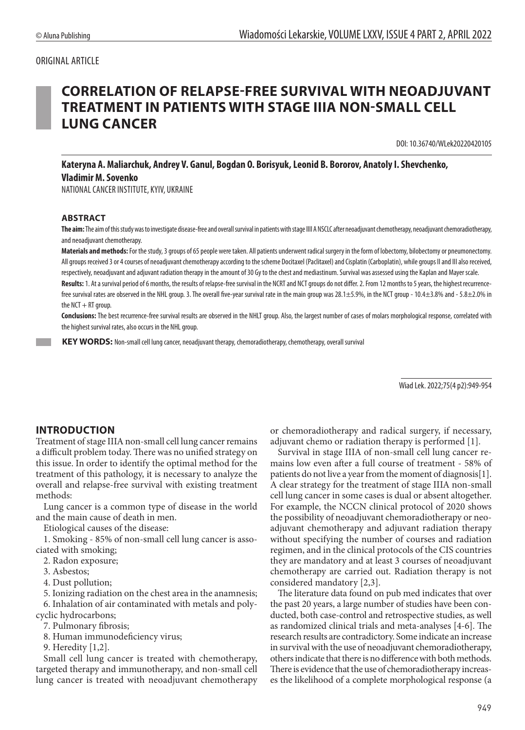### ORIGINAL ARTICLE

# **CORRELATION OF RELAPSE-FREE SURVIVAL WITH NEOADJUVANT TREATMENT IN PATIENTS WITH STAGE IIIA NON-SMALL CELL LUNG CANCER**

DOI: 10.36740/WLek20220420105

**Kateryna A. Maliarchuk, Andrey V. Ganul, Bogdan O. Borisyuk, Leonid B. Bororov, Anatoly I. Shevchenko, Vladimir M. Sovenko**

NATIONAL CANCER INSTITUTE, KYIV, UKRAINE

#### **ABSTRACT**

**The aim:** The aim of this study was to investigate disease-free and overall survival in patients with stage IIII A NSCLC after neoadjuvant chemotherapy, neoadjuvant chemoradiotherapy, and neoadjuvant chemotherapy.

**Materials and methods:** For the study, 3 groups of 65 people were taken. All patients underwent radical surgery in the form of lobectomy, bilobectomy or pneumonectomy. All groups received 3 or 4 courses of neoadjuvant chemotherapy according to the scheme Docitaxel (Paclitaxel) and Cisplatin (Carboplatin), while groups II and III also received, respectively, neoadjuvant and adjuvant radiation therapy in the amount of 30 Gy to the chest and mediastinum. Survival was assessed using the Kaplan and Mayer scale. Results: 1. At a survival period of 6 months, the results of relapse-free survival in the NCRT and NCT groups do not differ. 2. From 12 months to 5 years, the highest recurrence-

free survival rates are observed in the NHL group. 3. The overall five-year survival rate in the main group was 28.1±5.9%, in the NCT group - 10.4±3.8% and - 5.8±2.0% in the  $NCT + RT$  group.

**Conclusions:** The best recurrence-free survival results are observed in the NHLT group. Also, the largest number of cases of molars morphological response, correlated with the highest survival rates, also occurs in the NHL group.

**KEY WORDS:** Non-small cell lung cancer, neoadjuvant therapy, chemoradiotherapy, chemotherapy, overall survival

Wiad Lek. 2022;75(4 p2):949-954

### **INTRODUCTION**

Treatment of stage IIIA non-small cell lung cancer remains a difficult problem today. There was no unified strategy on this issue. In order to identify the optimal method for the treatment of this pathology, it is necessary to analyze the overall and relapse-free survival with existing treatment methods:

Lung cancer is a common type of disease in the world and the main cause of death in men.

Etiological causes of the disease:

1. Smoking - 85% of non-small cell lung cancer is associated with smoking;

2. Radon exposure;

3. Asbestos;

4. Dust pollution;

5. Ionizing radiation on the chest area in the anamnesis; 6. Inhalation of air contaminated with metals and poly-

cyclic hydrocarbons;

7. Pulmonary fibrosis;

8. Human immunodeficiency virus;

9. Heredity [1,2].

Small cell lung cancer is treated with chemotherapy, targeted therapy and immunotherapy, and non-small cell lung cancer is treated with neoadjuvant chemotherapy or chemoradiotherapy and radical surgery, if necessary, adjuvant chemo or radiation therapy is performed [1].

Survival in stage IIIA of non-small cell lung cancer remains low even after a full course of treatment - 58% of patients do not live a year from the moment of diagnosis[1]. A clear strategy for the treatment of stage IIIA non-small cell lung cancer in some cases is dual or absent altogether. For example, the NCCN clinical protocol of 2020 shows the possibility of neoadjuvant chemoradiotherapy or neoadjuvant chemotherapy and adjuvant radiation therapy without specifying the number of courses and radiation regimen, and in the clinical protocols of the CIS countries they are mandatory and at least 3 courses of neoadjuvant chemotherapy are carried out. Radiation therapy is not considered mandatory [2,3].

The literature data found on pub med indicates that over the past 20 years, a large number of studies have been conducted, both case-control and retrospective studies, as well as randomized clinical trials and meta-analyses [4-6]. The research results are contradictory. Some indicate an increase in survival with the use of neoadjuvant chemoradiotherapy, others indicate that there is no difference with both methods. There is evidence that the use of chemoradiotherapy increases the likelihood of a complete morphological response (a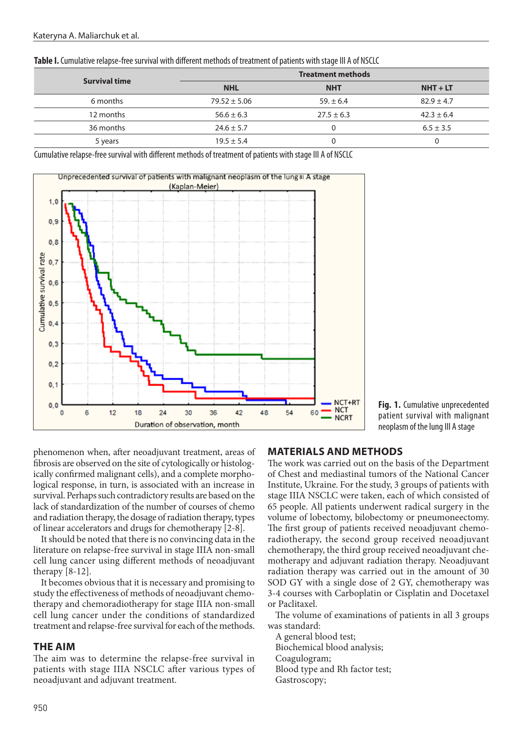| .                        |                |                |
|--------------------------|----------------|----------------|
| <b>Treatment methods</b> |                |                |
| <b>NHL</b>               | <b>NHT</b>     | $NHT + LT$     |
| $79.52 \pm 5.06$         | $59. \pm 6.4$  | $82.9 \pm 4.7$ |
| $56.6 \pm 6.3$           | $27.5 \pm 6.3$ | $42.3 \pm 6.4$ |
| $24.6 \pm 5.7$           |                | $6.5 \pm 3.5$  |
| $19.5 \pm 5.4$           |                | 0              |
|                          |                |                |

**Table I.** Cumulative relapse-free survival with different methods of treatment of patients with stage III A of NSCLC

Cumulative relapse-free survival with different methods of treatment of patients with stage III A of NSCLC



**Fig. 1.** Cumulative unprecedented patient survival with malignant neoplasm of the lung III A stage

phenomenon when, after neoadjuvant treatment, areas of fibrosis are observed on the site of cytologically or histologically confirmed malignant cells), and a complete morphological response, in turn, is associated with an increase in survival. Perhaps such contradictory results are based on the lack of standardization of the number of courses of chemo and radiation therapy, the dosage of radiation therapy, types of linear accelerators and drugs for chemotherapy [2-8].

It should be noted that there is no convincing data in the literature on relapse-free survival in stage IIIA non-small cell lung cancer using different methods of neoadjuvant therapy [8-12].

It becomes obvious that it is necessary and promising to study the effectiveness of methods of neoadjuvant chemotherapy and chemoradiotherapy for stage IIIA non-small cell lung cancer under the conditions of standardized treatment and relapse-free survival for each of the methods.

#### **THE AIM**

The aim was to determine the relapse-free survival in patients with stage IIIA NSCLC after various types of neoadjuvant and adjuvant treatment.

# **MATERIALS AND METHODS**

The work was carried out on the basis of the Department of Chest and mediastinal tumors of the National Cancer Institute, Ukraine. For the study, 3 groups of patients with stage IIIA NSCLC were taken, each of which consisted of 65 people. All patients underwent radical surgery in the volume of lobectomy, bilobectomy or pneumoneectomy. The first group of patients received neoadjuvant chemoradiotherapy, the second group received neoadjuvant chemotherapy, the third group received neoadjuvant chemotherapy and adjuvant radiation therapy. Neoadjuvant radiation therapy was carried out in the amount of 30 SOD GY with a single dose of 2 GY, chemotherapy was 3-4 courses with Carboplatin or Cisplatin and Docetaxel or Paclitaxel.

The volume of examinations of patients in all 3 groups was standard:

A general blood test; Biochemical blood analysis; Coagulogram; Blood type and Rh factor test; Gastroscopy;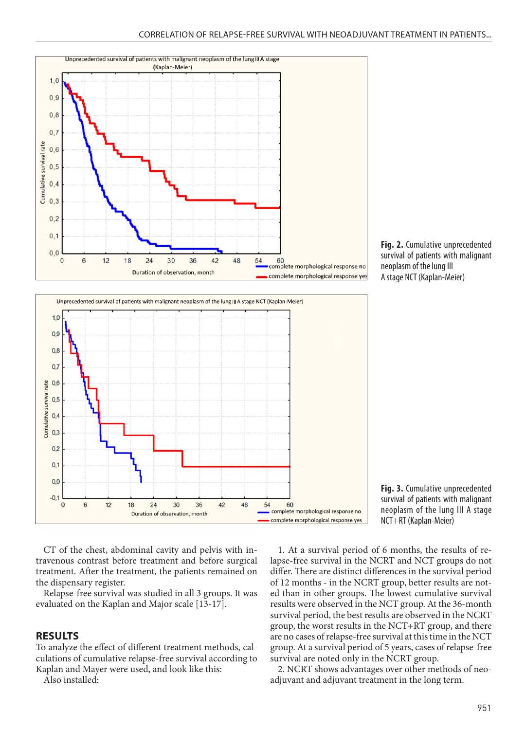







CT of the chest, abdominal cavity and pelvis with in-Let of the enest, abdominar eavity and pervis with in-<br>travenous contrast before treatment and before surgical treatment. After the treatment, the patients remained on the dispensary register. **Cumulative unprecedented survival of patients with malignant neoplasm** 

Relapse-free survival was studied in all 3 groups. It was evaluated on the Kaplan and Major scale [13-17].

#### **RESULTS**

To analyze the effect of different treatment methods, calculations of cumulative relapse-free survival according to Kaplan and Mayer were used, and look like this:

Also installed:

1. At a survival period of 6 months, the results of relapse-free survival in the NCRT and NCT groups do not differ. There are distinct differences in the survival period of 12 months - in the NCRT group, better results are noted than in other groups. The lowest cumulative survival results were observed in the NCT group. At the 36-month survival period, the best results are observed in the NCRT group, the worst results in the NCT+RT group, and there are no cases of relapse-free survival at this time in the NCT group. At a survival period of 5 years, cases of relapse-free survival are noted only in the NCRT group.

2. NCRT shows advantages over other methods of neoadjuvant and adjuvant treatment in the long term.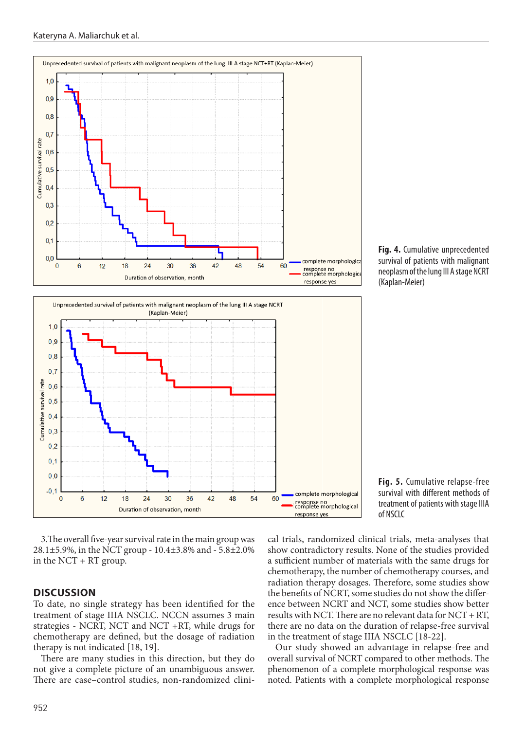





3. The overall five-year survival rate in the main group was cal trials, randomized c 28.1±5.9%, in the NCT group - 10.4±3.8% and - 5.8±2.0% in the NCT + RT group.

#### **DISCUSSION**

To date, no single strategy has been identified for the treatment of stage IIIA NSCLC. NCCN assumes 3 main strategies - NCRT, NCT and NCT +RT, while drugs for chemotherapy are defined, but the dosage of radiation therapy is not indicated [18, 19].

There are many studies in this direction, but they do not give a complete picture of an unambiguous answer. There are case–control studies, non-randomized clini-



**Fig. 5.** Cumulative relapse-free

cal trials, randomized clinical trials, meta-analyses that show contradictory results. None of the studies provided a sufficient number of materials with the same drugs for chemotherapy, the number of chemotherapy courses, and radiation therapy dosages. Therefore, some studies show the benefits of NCRT, some studies do not show the difference between NCRT and NCT, some studies show better results with NCT. There are no relevant data for NCT + RT, there are no data on the duration of relapse-free survival in the treatment of stage IIIA NSCLC [18-22].

Our study showed an advantage in relapse-free and overall survival of NCRT compared to other methods. The phenomenon of a complete morphological response was noted. Patients with a complete morphological response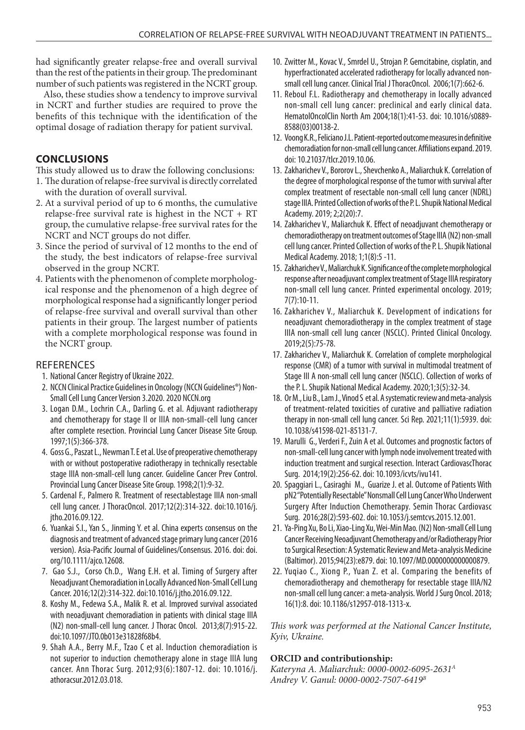had significantly greater relapse-free and overall survival than the rest of the patients in their group. The predominant number of such patients was registered in the NCRT group.

Also, these studies show a tendency to improve survival in NCRT and further studies are required to prove the benefits of this technique with the identification of the optimal dosage of radiation therapy for patient survival.

# **CONCLUSIONS**

This study allowed us to draw the following conclusions:

- 1. The duration of relapse-free survival is directly correlated with the duration of overall survival.
- 2. At a survival period of up to 6 months, the cumulative relapse-free survival rate is highest in the NCT + RT group, the cumulative relapse-free survival rates for the NCRT and NCT groups do not differ.
- 3. Since the period of survival of 12 months to the end of the study, the best indicators of relapse-free survival observed in the group NCRT.
- 4. Patients with the phenomenon of complete morphological response and the phenomenon of a high degree of morphological response had a significantly longer period of relapse-free survival and overall survival than other patients in their group. The largest number of patients with a complete morphological response was found in the NCRT group.

## **REFERENCES**

- 1. National Cancer Registry of Ukraine 2022.
- 2. NCCN Clinical Practice Guidelines in Oncology (NCCN Guidelines®) Non-Small Cell Lung Cancer Version 3.2020. 2020 NCCN.org
- 3. Logan D.M., Lochrin C.A., Darling G. et al. Adjuvant radiotherapy and chemotherapy for stage II or IIIA non-small-cell lung cancer after complete resection. Provincial Lung Cancer Disease Site Group. 1997;1(5):366-378.
- 4. Goss G., Paszat L., Newman T. E et al. Use of preoperative chemotherapy with or without postoperative radiotherapy in technically resectable stage IIIA non-small-cell lung cancer. Guideline Cancer Prev Control. Provincial Lung Cancer Disease Site Group. 1998;2(1):9-32.
- 5. Cardenal F., Palmero R. Treatment of resectablestage IIIA non-small cell lung cancer. J ThoracOncol. 2017;12(2):314-322. doi:10.1016/j. jtho.2016.09.122.
- 6. Yuankai S.I., Yan S., Jinming Y. et al. China experts consensus on the diagnosis and treatment of advanced stage primary lung cancer (2016 version). Asia-Pacific Journal of Guidelines/Consensus. 2016. doi: doi. org/10.1111/ajco.12608.
- 7. Gao S.J., Corso Ch.D., Wang E.H. et al. Timing of Surgery after Neoadjuvant Chemoradiation in Locally Advanced Non-Small Cell Lung Cancer. 2016;12(2):314-322. doi:10.1016/j.jtho.2016.09.122.
- 8. Koshy M., Fedewa S.A., Malik R. et al. Improved survival associated with neoadjuvant chemoradiation in patients with clinical stage IIIA (N2) non-small-cell lung cancer. J Thorac Oncol. 2013;8(7):915-22. doi:10.1097/JTO.0b013e31828f68b4.
- 9. Shah A.A., Berry M.F., Tzao C et al. Induction chemoradiation is not superior to induction chemotherapy alone in stage IIIA lung cancer. Ann Thorac Surg. 2012;93(6):1807-12. doi: 10.1016/j. athoracsur.2012.03.018.
- 10. Zwitter M., Kovac V., Smrdel U., Strojan P. Gemcitabine, cisplatin, and hyperfractionated accelerated radiotherapy for locally advanced nonsmall cell lung cancer. Clinical Trial J ThoracOncol. 2006;1(7):662-6.
- 11. Reboul F.L. Radiotherapy and chemotherapy in locally advanced non-small cell lung cancer: preclinical and early clinical data. HematolOncolClin North Am 2004;18(1):41-53. doi: 10.1016/s0889- 8588(03)00138-2.
- 12. Voong K.R., Feliciano J.L. Patient-reported outcome measures in definitive chemoradiation for non-small cell lung cancer. Affiliations expand. 2019. doi: 10.21037/tlcr.2019.10.06.
- 13. Zakharichev V., Bororov L., Shevchenko A., Maliarchuk K. Correlation of the degree of morphological response of the tumor with survival after complex treatment of resectable non-small cell lung cancer (NDRL) stage IIIA. Рrinted Collection of works of the P. L. Shupik National Medical Academy. 2019; 2;2(20):7.
- 14. Zakharichev V., Maliarchuk K. Effect of neoadjuvant chemotherapy or chemoradiotherapy on treatment outcomes of Stage IIIA (N2) non-small cell lung cancer. Рrinted Collection of works of the P. L. Shupik National Medical Academy. 2018; 1;1(8):5 -11.
- 15. Zakharichev V., Maliarchuk K. Significance of the complete morphological response after neoadjuvant complex treatment of Stage IIIA respiratory non-small cell lung cancer. Рrinted experimental oncology. 2019; 7(7):10-11.
- 16. Zakharichev V., Maliarchuk K. Development of indications for neoadjuvant chemoradiotherapy in the complex treatment of stage IIIA non-small cell lung cancer (NSCLC). Рrinted Clinical Oncology. 2019;2(5):75-78.
- 17. Zakharichev V., Maliarchuk K. Correlation of complete morphological response (CMR) of a tumor with survival in multimodal treatment of Stage III A non-small cell lung cancer (NSCLC). Collection of works of the P. L. Shupik National Medical Academy. 2020;1;3(5):32-34.
- 18. Or M., Liu B., Lam J., Vinod S et al. A systematic review and meta-analysis of treatment-related toxicities of curative and palliative radiation therapy in non-small cell lung cancer. Sci Rep. 2021;11(1):5939. doi: 10.1038/s41598-021-85131-7.
- 19. Marulli G., Verderi F., Zuin A et al. Outcomes and prognostic factors of non-small-cell lung cancer with lymph node involvement treated with induction treatment and surgical resection. Interact CardiovascThorac Surg. 2014;19(2):256-62. doi: 10.1093/icvts/ivu141.
- 20. Spaggiari L., Casiraghi M., Guarize J. et al. Outcome of Patients With pN2 "Potentially Resectable" Nonsmall Cell Lung Cancer Who Underwent Surgery After Induction Chemotherapy. Semin Thorac Cardiovasc Surg. 2016;28(2):593-602. doi: 10.1053/j.semtcvs.2015.12.001.
- 21. Ya-Ping Xu, Bo Li, Xiao-Ling Xu, Wei-Min Mao. (N2) Non-small Cell Lung Cancer Receiving Neoadjuvant Chemotherapy and/or Radiotherapy Prior to Surgical Resection: A Systematic Review and Meta-analysis Medicine (Baltimor). 2015;94(23):e879. doi: 10.1097/MD.0000000000000879.
- 22. Yuqiao C., Xiong P., Yuan Z. et al. Comparing the benefits of chemoradiotherapy and chemotherapy for resectable stage IIIA/N2 non-small cell lung cancer: a meta-analysis. World J Surg Oncol. 2018; 16(1):8. doi: 10.1186/s12957-018-1313-x.

*This work was performed at the National Cancer Institute, Kyiv, Ukraine.*

### **ORCID and contributionship:**

*Kateryna A. Maliarchuk: 0000-0002-6095-2631А Andrey V. Ganul: 0000-0002-7507-6419В*